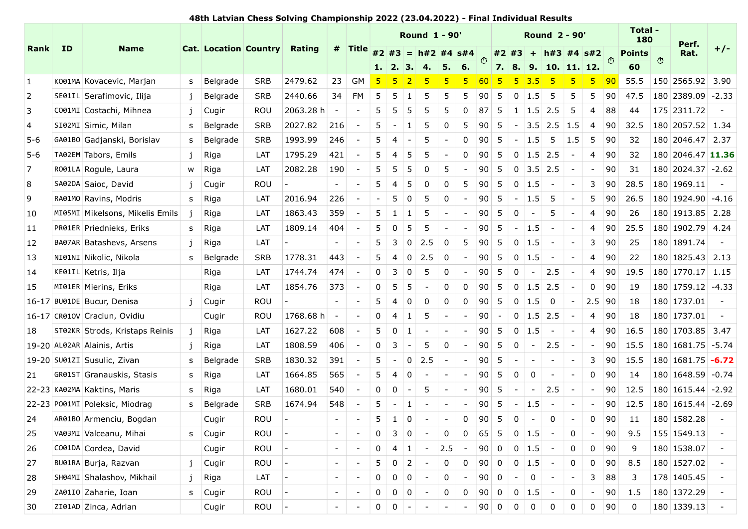## 48th Latvian Chess Solving Championship 2022 (23.04.2022) - Final Individual Results

|                         |                                                               |              |                                     |            | 48th Latvian Chess Solving Championship 2022 (23.04.2022) - Final Individual Results |                                                                                                                           |                |            |                        | <b>Round 1 - 90'</b>              |                          |                                                                        |           |                                    |              | <b>Round 2 - 90'</b>                                                                      |                               |                                |             | Total -             |   |                                           |       |
|-------------------------|---------------------------------------------------------------|--------------|-------------------------------------|------------|--------------------------------------------------------------------------------------|---------------------------------------------------------------------------------------------------------------------------|----------------|------------|------------------------|-----------------------------------|--------------------------|------------------------------------------------------------------------|-----------|------------------------------------|--------------|-------------------------------------------------------------------------------------------|-------------------------------|--------------------------------|-------------|---------------------|---|-------------------------------------------|-------|
| Rank ID                 | <b>Name</b>                                                   |              | <b>Cat. Location Country Rating</b> |            |                                                                                      | #                                                                                                                         | Title          |            |                        |                                   |                          |                                                                        |           |                                    |              |                                                                                           |                               |                                |             | 180                 |   | Perf.                                     | $+/-$ |
|                         |                                                               |              |                                     |            |                                                                                      |                                                                                                                           |                |            |                        | 1. 2. 3. 4. 5. 6.                 |                          |                                                                        |           |                                    |              | #2 #3 = h#2 #4 s#4 $\sigma$ #2 #3 + h#3 #4 s#2 $\sigma$<br>7.   8.   9.   10.   11.   12. |                               |                                |             | <b>Points</b><br>60 | O | Rat.                                      |       |
| $\mathbf{1}$            | K001MA Kovacevic, Marjan                                      |              | s Belgrade                          | SRB        | 2479.62                                                                              | 23                                                                                                                        | ∣ GM           |            |                        |                                   |                          |                                                                        |           | -5 -                               |              | 5 3.5 5                                                                                   | $\mathsf{L}$ 5                | -5.                            | <u> 90 </u> |                     |   | 55.5 150 2565.92 3.90                     |       |
| $\overline{2}$          | SE01IL Serafimovic, Ilija                                     | j.           | Belgrade                            | SRB        | 2440.66                                                                              | 34                                                                                                                        | FM             | -5         | 5                      | -5                                | -5                       | -5                                                                     | <b>90</b> | 5                                  | $0 \mid 1.5$ | 5                                                                                         |                               | 5<br>5                         | 90          | 47.5                |   | $ 180 2389.09  -2.33$                     |       |
| $\overline{\mathbf{3}}$ | CO01MI Costachi, Mihnea                                       |              | j   Cugir                           | ROU        | 2063.28 h                                                                            |                                                                                                                           |                | -5         | 5                      | -5.<br>-5                         | -5                       | $\mathbf{0}$                                                           |           |                                    |              | $ 87 $ 5 1 1.5 2.5 5                                                                      |                               | $\overline{4}$                 | 88          | 44                  |   | $ 175 2311.72 $ -                         |       |
| 4                       | SI02MI Simic, Milan                                           |              | s Belgrade                          | SRB        | 2027.82                                                                              | 216                                                                                                                       |                |            |                        | -5                                |                          |                                                                        | 90        | - 5                                |              | $-$ 3.5 2.5 1.5                                                                           |                               |                                |             |                     |   | 4 90 32.5 180 2057.52 1.34                |       |
| $5-6$                   | GA01B0 Gadjanski, Borislav                                    |              | s Belgrade                          | SRB        | 1993.99                                                                              | 246                                                                                                                       | $\sim$         | $5 \mid 4$ |                        | 5                                 | $\overline{\phantom{a}}$ |                                                                        |           |                                    |              | $0$ 90 5 - 1.5 5 1.5 5 90                                                                 |                               |                                |             | 32                  |   | 180 2046.47 2.37                          |       |
| $5 - 6$                 | TA02EM Tabors, Emils                                          | j            | Riga                                | LAT        | 1795.29                                                                              | 421                                                                                                                       |                | 5          | -5                     | -5                                |                          | 0                                                                      |           |                                    |              | $ 90 $ 5 0 1.5 2.5                                                                        | $\sim$ $-$                    |                                | 4   90      | 32                  |   | $180$ 2046.47 11.36                       |       |
| 7                       | R001LA Rogule, Laura                                          |              | w Riga                              | LAT        | 2082.28                                                                              | 190                                                                                                                       |                |            | -5                     | -0                                | -5                       |                                                                        | 90        | 5                                  |              | $\begin{array}{ c c c c c } \hline 0 & 3.5 & 2.5 \\ \hline \end{array}$                   | $\sim$ $-$                    | $\sim$                         | 90          | 31                  |   | $ 180 2024.37  -2.62$                     |       |
| 8                       | SA02DA Saioc, David                                           |              | Cugir                               | ROU        | $\sim$ $-$                                                                           |                                                                                                                           |                |            |                        |                                   |                          | -5                                                                     |           | $ 90 $ 5   0   1.5                 |              | $\sim$                                                                                    | $\sim$                        |                                |             |                     |   | $3$   90   28.5   180   1969.11           |       |
| 9                       | RA01MO Ravins, Modris                                         |              | s Riga                              | LAT        | 2016.94                                                                              | 226                                                                                                                       | $\sim$         |            |                        | $-$ 5 0 5                         |                          |                                                                        |           |                                    |              |                                                                                           | $\sim$                        |                                |             |                     |   | $5$ 90 26.5 180 1924.90 -4.16             |       |
| 10                      | MI05MI Mikelsons, Mikelis Emils                               |              | Riga                                | LAT        | 1863.43                                                                              | 359                                                                                                                       |                |            | $5 \mid 1 \mid 1 \mid$ | 5                                 | $\sim$                   | $\sim$ $ \sim$                                                         | 90 5      |                                    | $0$ -        | 5                                                                                         |                               |                                | 4 90        | 26                  |   | 180 1913.85 2.28                          |       |
| 11                      | PR01ER Priednieks, Eriks                                      |              | s Riga                              | LAT        | 1809.14                                                                              | 404                                                                                                                       | $\sim$ $-$     | $5 \mid 0$ |                        | 5<br>- 5                          |                          | $\mathcal{A}=\{1,2,3,4,5\}$                                            |           | $ 90 $ 5 - 1.5                     |              |                                                                                           | $\sim$ $ \sim$<br>$\sim$      |                                |             | $4$ 90 25.5         |   | $ 180 1902.79 $ 4.24                      |       |
| 12                      | BA07AR Batashevs, Arsens                                      | $\mathbf{i}$ | Riga                                | $LAT$ -    |                                                                                      | $\frac{1}{2} \left( \frac{1}{2} \right) \left( \frac{1}{2} \right) \left( \frac{1}{2} \right) \left( \frac{1}{2} \right)$ |                |            |                        | $5 \mid 3 \mid 0 \mid 2.5 \mid 0$ |                          |                                                                        |           | $5 \mid 90 \mid 5 \mid 0 \mid 1.5$ |              |                                                                                           | $\vert \cdot \vert$<br>$\sim$ |                                | $3 \mid 90$ | 25                  |   | 180 1891.74                               |       |
| 13                      | NI01NI Nikolic, Nikola                                        |              | s Belgrade                          | SRB        | 1778.31                                                                              | 443                                                                                                                       |                | $5 \mid 4$ |                        | $\vert 0 \vert 2.5 \vert 0$       |                          |                                                                        |           | $-$ 90 5 0 1.5                     |              | $\sim$                                                                                    | $\mathbf{1}$                  |                                | $4 \mid 90$ | 22                  |   | 180 1825.43 2.13                          |       |
| 14                      | KE01IL Ketris, Ilja                                           |              | Riga                                | LAT        | 1744.74                                                                              | 474                                                                                                                       |                | $0 \mid 3$ | 0                      | 5                                 | $\mathbf 0$              | $\sim$                                                                 | $ 90 $ 5  |                                    |              | $ 0 - 2.5 $                                                                               | $\sim$                        |                                | 4 90        | 19.5                |   | 180 1770.17 1.15                          |       |
| 15                      | MI01ER Mierins, Eriks                                         |              | Riga                                | LAT        | 1854.76                                                                              | 373                                                                                                                       | $\sim$         | $0 \mid 5$ | -5                     | $\sim$                            | $\mathbf{0}$             | $\mathbf 0$                                                            |           |                                    |              | $ 90 $ 5 0 1.5 2.5                                                                        | $\sim$                        |                                | $0$ 90      | 19                  |   | $180$ 1759.12 -4.33                       |       |
|                         | 16-17 BU01DE Bucur, Denisa                                    | $\mathbf{i}$ | Cugir                               | $ROU$ -    |                                                                                      |                                                                                                                           |                | $5 \mid 4$ |                        |                                   | -0                       | $\mathbf{0}$                                                           |           |                                    |              | $ 90 $ 5 0 1.5 0                                                                          |                               | $\sim$                         | 2.5 90      | 18                  |   | 180 1737.01                               |       |
|                         | 16-17 CR010V Craciun, Ovidiu                                  |              | Cugir                               | ROU        | $1768.68 h$ -                                                                        |                                                                                                                           | $\sim$         | $0 \mid 4$ |                        | - 5<br>$\vert 1 \vert$            | $\sim$                   | $\sim$                                                                 | $ 90 $ -  |                                    |              | $\begin{array}{ c c c c c } \hline 0 & 1.5 & 2.5 \ \hline \end{array}$                    | $\overline{\phantom{a}}$      |                                | $4 \mid 90$ | 18                  |   | 180 1737.01<br>4 90 16.5 180 1703.85 3.47 |       |
| 18                      | ST02KR Strods, Kristaps Reinis<br>19-20 AL02AR Alainis, Artis |              | Riga                                | LAT<br>LAT | 1627.22<br>1808.59                                                                   | 608<br>406                                                                                                                | $\sim$ $ \sim$ | $0 \mid 3$ | $5 \mid 0 \mid 1 \mid$ | $\sim$<br>5<br>$\sim$             | $\mathbf{0}$             | $\sim$ $\sim$ $\sim$ $\sim$<br>$\vert \cdot \vert = \vert \cdot \vert$ |           |                                    |              | $ 90 $ 5 0 1.5 -<br>$ 90 $ 5 0 - 2.5 -                                                    | $\mathbf{r} = \mathbf{r}$     | $\sim$                         |             |                     |   | $ 90 $ 15.5 180 1681.75 -5.74             |       |
|                         | 19-20 SU01ZI Susulic, Zivan                                   | j            | Riga<br>s Belgrade                  | SRB        | 1830.32                                                                              | 391                                                                                                                       |                |            |                        |                                   |                          |                                                                        |           |                                    |              | $5$ - 0 2.5 - - 90 5 - - - -                                                              |                               |                                |             |                     |   | 3 90 15.5 180 1681.75 -6.72               |       |
| 21                      | GR01ST Granauskis, Stasis                                     |              | s Riga                              | LAT        | 1664.85                                                                              | 565                                                                                                                       | $\sim$         | $5 \mid 4$ | $\overline{0}$         | $\overline{a}$                    |                          |                                                                        |           |                                    |              | $ -$ 90 5 0 0 -                                                                           |                               |                                | $0$ 90      | 14                  |   | $180$ 1648.59 -0.74                       |       |
|                         | 22-23 KA02MA Kaktins, Maris                                   |              | s Riga                              | LAT        | 1680.01                                                                              | 540                                                                                                                       | $\sim$         | $0 \mid 0$ | $\sim$                 | 5                                 |                          | $\mathcal{L} = \mathcal{L} \mathcal{L} = \mathcal{L}$                  |           |                                    |              | $ 90 $ 5 - - 2.5 -                                                                        |                               | $\sim$                         |             | $90 \mid 12.5$      |   | $ 180 1615.44  -2.92$                     |       |
|                         | 22-23 P001MI Poleksic, Miodrag                                |              | s   Belgrade                        | SRB        | 1674.94                                                                              | 548                                                                                                                       | $\sim$ $ \sim$ |            |                        | $5 - 1 -$                         |                          | $ -  -   90   5   -   1.5  $                                           |           |                                    |              |                                                                                           | $\sim$ $\sim$ $\sim$ $\sim$   | $\epsilon_{\rm{eff}}=0.1$      |             |                     |   | $ 90 $ 12.5 180 1615.44 -2.69             |       |
| 24                      | AR01B0 Armenciu, Bogdan                                       |              | Cugir                               | $ROU$ -    |                                                                                      | $\frac{1}{2} \left( \frac{1}{2} \right) \left( \frac{1}{2} \right) \left( \frac{1}{2} \right) \left( \frac{1}{2} \right)$ |                | $5 \mid 1$ |                        | $\overline{0}$<br>$\sim$          | $\sim$                   |                                                                        |           |                                    |              | $0 \mid 90 \mid 5 \mid 0 \mid - \mid 0$                                                   | $\sim$                        |                                |             | 0  90   11          |   | 180 1582.28                               |       |
| 25                      | VA03MI Valceanu, Mihai                                        |              | s Cugir                             | $ROU$ -    |                                                                                      | $\frac{1}{2} \left( \frac{1}{2} \right) \left( \frac{1}{2} \right) = \frac{1}{2} \left( \frac{1}{2} \right)$              |                | $0 \mid 3$ | $\overline{0}$         |                                   | $\mathbf 0$              | $\overline{0}$                                                         |           | $ 65 $ 5 0 1.5                     |              |                                                                                           | $\sim$                        | 0<br>$\sim$                    | 90          | 9.5                 |   | $155$ 1549.13                             |       |
| 26                      | CO01DA Cordea, David                                          |              | Cugir                               | $ROU$ -    |                                                                                      |                                                                                                                           |                | $0 \mid 4$ |                        | $\vert 1 \vert$<br>$\sim$         | $ 2.5  -$                |                                                                        |           | $ 90 $ 0 0 1.5                     |              | $\overline{\phantom{a}}$                                                                  |                               | 0<br>$\mathbf{0}$              | 90          | 9                   |   | 180 1538.07                               |       |
| 27                      | BU01RA Burja, Razvan                                          | $\mathbf i$  | Cugir                               | $ROU$ -    |                                                                                      |                                                                                                                           |                | $5 \mid 0$ |                        | $\overline{2}$                    | $\mathbf 0$              | $\mathbf{0}$                                                           |           | $ 90 $ 0 0 1.5                     |              |                                                                                           | $\sim$                        | 0<br>$\mathbf{0}$              | 90          | 8.5                 |   | 180 1527.02                               |       |
| 28                      | SH04MI Shalashov, Mikhail                                     | $\mathbf{i}$ | Riga                                | $LAT$ -    |                                                                                      | $ -$                                                                                                                      |                | $0 \mid 0$ | 0                      |                                   | $\mathbf 0$              | $\sim$ $ \sim$                                                         |           | $ 90 0  -  0$                      |              |                                                                                           | $\sim$                        | $\mathsf{3}$<br>$\sim$         | 88          | 3                   |   | 178 1405.45                               |       |
| 29                      | ZA01IO Zaharie, Ioan                                          |              | s Cugir                             | $ROU$ -    |                                                                                      | $\sim 10^{-1}$ and $\sim 10^{-1}$                                                                                         |                | $0 \mid 0$ | $\overline{0}$         | $\sim$                            | 0 <sup>1</sup>           |                                                                        |           | $0$ 90 0 0 1.5                     |              |                                                                                           | $\sim$                        | $\mathbf 0$<br>$\sim$          | 90          | 1.5                 |   | 180 1372.29                               |       |
| 30                      | ZI01AD Zinca, Adrian                                          |              | Cugir                               | $ROU$ -    |                                                                                      | $ -$                                                                                                                      |                |            | $0 \mid 0 \mid -$      | $\sim$                            |                          | $\mathcal{L} = \mathcal{L} \mathcal{L} = \mathcal{L}$                  |           | 9000000                            |              | $\overline{0}$                                                                            |                               | $\mathbf{0}$<br>$\overline{0}$ | 90          | $\mathbf 0$         |   | 180 1339.13                               |       |